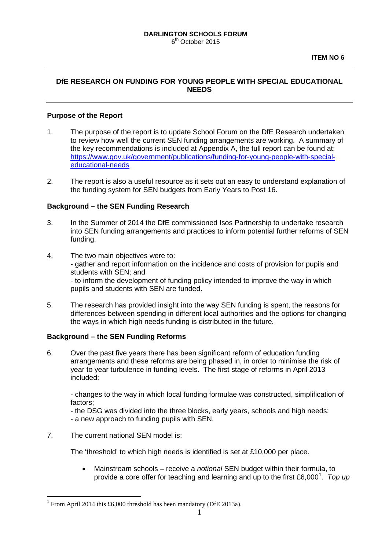# **DfE RESEARCH ON FUNDING FOR YOUNG PEOPLE WITH SPECIAL EDUCATIONAL NEEDS**

## **Purpose of the Report**

- 1. The purpose of the report is to update School Forum on the DfE Research undertaken to review how well the current SEN funding arrangements are working. A summary of the key recommendations is included at Appendix A, the full report can be found at: [https://www.gov.uk/government/publications/funding-for-young-people-with-special](https://www.gov.uk/government/publications/funding-for-young-people-with-special-educational-needs)[educational-needs](https://www.gov.uk/government/publications/funding-for-young-people-with-special-educational-needs)
- 2. The report is also a useful resource as it sets out an easy to understand explanation of the funding system for SEN budgets from Early Years to Post 16.

### **Background – the SEN Funding Research**

- 3. In the Summer of 2014 the DfE commissioned Isos Partnership to undertake research into SEN funding arrangements and practices to inform potential further reforms of SEN funding.
- 4. The two main objectives were to: - gather and report information on the incidence and costs of provision for pupils and students with SEN; and - to inform the development of funding policy intended to improve the way in which pupils and students with SEN are funded.
- 5. The research has provided insight into the way SEN funding is spent, the reasons for differences between spending in different local authorities and the options for changing the ways in which high needs funding is distributed in the future.

# **Background – the SEN Funding Reforms**

6. Over the past five years there has been significant reform of education funding arrangements and these reforms are being phased in, in order to minimise the risk of year to year turbulence in funding levels. The first stage of reforms in April 2013 included:

- changes to the way in which local funding formulae was constructed, simplification of factors;

- the DSG was divided into the three blocks, early years, schools and high needs; - a new approach to funding pupils with SEN.

7. The current national SEN model is:

The 'threshold' to which high needs is identified is set at £10,000 per place.

• Mainstream schools – receive a *notional* SEN budget within their formula, to provide a core offer for teaching and learning and up to the first £6,000<sup>[1](#page-0-0)</sup>. Top up

<span id="page-0-0"></span><sup>&</sup>lt;sup>1</sup> From April 2014 this £6,000 threshold has been mandatory (DfE 2013a). -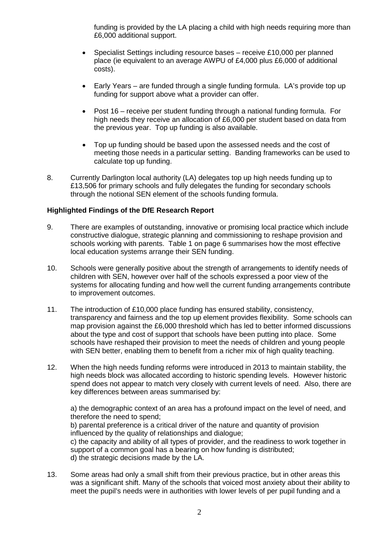funding is provided by the LA placing a child with high needs requiring more than £6,000 additional support.

- Specialist Settings including resource bases receive £10,000 per planned place (ie equivalent to an average AWPU of £4,000 plus £6,000 of additional costs).
- Early Years are funded through a single funding formula. LA's provide top up funding for support above what a provider can offer.
- Post 16 receive per student funding through a national funding formula. For high needs they receive an allocation of £6,000 per student based on data from the previous year. Top up funding is also available.
- Top up funding should be based upon the assessed needs and the cost of meeting those needs in a particular setting. Banding frameworks can be used to calculate top up funding.
- 8. Currently Darlington local authority (LA) delegates top up high needs funding up to £13,506 for primary schools and fully delegates the funding for secondary schools through the notional SEN element of the schools funding formula.

# **Highlighted Findings of the DfE Research Report**

- 9. There are examples of outstanding, innovative or promising local practice which include constructive dialogue, strategic planning and commissioning to reshape provision and schools working with parents. Table 1 on page 6 summarises how the most effective local education systems arrange their SEN funding.
- 10. Schools were generally positive about the strength of arrangements to identify needs of children with SEN, however over half of the schools expressed a poor view of the systems for allocating funding and how well the current funding arrangements contribute to improvement outcomes.
- 11. The introduction of £10,000 place funding has ensured stability, consistency, transparency and fairness and the top up element provides flexibility. Some schools can map provision against the £6,000 threshold which has led to better informed discussions about the type and cost of support that schools have been putting into place. Some schools have reshaped their provision to meet the needs of children and young people with SEN better, enabling them to benefit from a richer mix of high quality teaching.
- 12. When the high needs funding reforms were introduced in 2013 to maintain stability, the high needs block was allocated according to historic spending levels. However historic spend does not appear to match very closely with current levels of need. Also, there are key differences between areas summarised by:

a) the demographic context of an area has a profound impact on the level of need, and therefore the need to spend; b) parental preference is a critical driver of the nature and quantity of provision

influenced by the quality of relationships and dialogue; c) the capacity and ability of all types of provider, and the readiness to work together in support of a common goal has a bearing on how funding is distributed; d) the strategic decisions made by the LA.

13. Some areas had only a small shift from their previous practice, but in other areas this was a significant shift. Many of the schools that voiced most anxiety about their ability to meet the pupil's needs were in authorities with lower levels of per pupil funding and a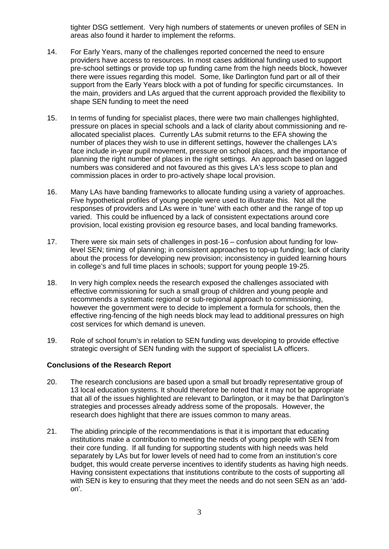tighter DSG settlement. Very high numbers of statements or uneven profiles of SEN in areas also found it harder to implement the reforms.

- 14. For Early Years, many of the challenges reported concerned the need to ensure providers have access to resources. In most cases additional funding used to support pre-school settings or provide top up funding came from the high needs block, however there were issues regarding this model. Some, like Darlington fund part or all of their support from the Early Years block with a pot of funding for specific circumstances. In the main, providers and LAs argued that the current approach provided the flexibility to shape SEN funding to meet the need
- 15. In terms of funding for specialist places, there were two main challenges highlighted, pressure on places in special schools and a lack of clarity about commissioning and reallocated specialist places. Currently LAs submit returns to the EFA showing the number of places they wish to use in different settings, however the challenges LA's face include in-year pupil movement, pressure on school places, and the importance of planning the right number of places in the right settings. An approach based on lagged numbers was considered and not favoured as this gives LA's less scope to plan and commission places in order to pro-actively shape local provision.
- 16. Many LAs have banding frameworks to allocate funding using a variety of approaches. Five hypothetical profiles of young people were used to illustrate this. Not all the responses of providers and LAs were in 'tune' with each other and the range of top up varied. This could be influenced by a lack of consistent expectations around core provision, local existing provision eg resource bases, and local banding frameworks.
- 17. There were six main sets of challenges in post-16 confusion about funding for lowlevel SEN; timing of planning; in consistent approaches to top-up funding; lack of clarity about the process for developing new provision; inconsistency in guided learning hours in college's and full time places in schools; support for young people 19-25.
- 18. In very high complex needs the research exposed the challenges associated with effective commissioning for such a small group of children and young people and recommends a systematic regional or sub-regional approach to commissioning, however the government were to decide to implement a formula for schools, then the effective ring-fencing of the high needs block may lead to additional pressures on high cost services for which demand is uneven.
- 19. Role of school forum's in relation to SEN funding was developing to provide effective strategic oversight of SEN funding with the support of specialist LA officers.

# **Conclusions of the Research Report**

- 20. The research conclusions are based upon a small but broadly representative group of 13 local education systems. It should therefore be noted that it may not be appropriate that all of the issues highlighted are relevant to Darlington, or it may be that Darlington's strategies and processes already address some of the proposals. However, the research does highlight that there are issues common to many areas.
- 21. The abiding principle of the recommendations is that it is important that educating institutions make a contribution to meeting the needs of young people with SEN from their core funding. If all funding for supporting students with high needs was held separately by LAs but for lower levels of need had to come from an institution's core budget, this would create perverse incentives to identify students as having high needs. Having consistent expectations that institutions contribute to the costs of supporting all with SEN is key to ensuring that they meet the needs and do not seen SEN as an 'addon'.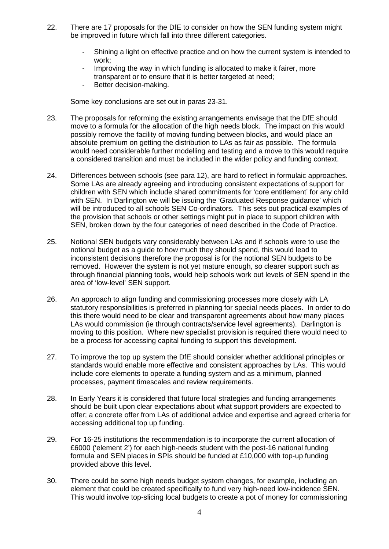- 22. There are 17 proposals for the DfE to consider on how the SEN funding system might be improved in future which fall into three different categories.
	- Shining a light on effective practice and on how the current system is intended to work;
	- Improving the way in which funding is allocated to make it fairer, more transparent or to ensure that it is better targeted at need;
	- Better decision-making.

Some key conclusions are set out in paras 23-31.

- 23. The proposals for reforming the existing arrangements envisage that the DfE should move to a formula for the allocation of the high needs block. The impact on this would possibly remove the facility of moving funding between blocks, and would place an absolute premium on getting the distribution to LAs as fair as possible. The formula would need considerable further modelling and testing and a move to this would require a considered transition and must be included in the wider policy and funding context.
- 24. Differences between schools (see para 12), are hard to reflect in formulaic approaches. Some LAs are already agreeing and introducing consistent expectations of support for children with SEN which include shared commitments for 'core entitlement' for any child with SEN. In Darlington we will be issuing the 'Graduated Response guidance' which will be introduced to all schools SEN Co-ordinators. This sets out practical examples of the provision that schools or other settings might put in place to support children with SEN, broken down by the four categories of need described in the Code of Practice.
- 25. Notional SEN budgets vary considerably between LAs and if schools were to use the notional budget as a guide to how much they should spend, this would lead to inconsistent decisions therefore the proposal is for the notional SEN budgets to be removed. However the system is not yet mature enough, so clearer support such as through financial planning tools, would help schools work out levels of SEN spend in the area of 'low-level' SEN support.
- 26. An approach to align funding and commissioning processes more closely with LA statutory responsibilities is preferred in planning for special needs places. In order to do this there would need to be clear and transparent agreements about how many places LAs would commission (ie through contracts/service level agreements). Darlington is moving to this position. Where new specialist provision is required there would need to be a process for accessing capital funding to support this development.
- 27. To improve the top up system the DfE should consider whether additional principles or standards would enable more effective and consistent approaches by LAs. This would include core elements to operate a funding system and as a minimum, planned processes, payment timescales and review requirements.
- 28. In Early Years it is considered that future local strategies and funding arrangements should be built upon clear expectations about what support providers are expected to offer; a concrete offer from LAs of additional advice and expertise and agreed criteria for accessing additional top up funding.
- 29. For 16-25 institutions the recommendation is to incorporate the current allocation of £6000 ('element 2') for each high-needs student with the post-16 national funding formula and SEN places in SPIs should be funded at £10,000 with top-up funding provided above this level.
- 30. There could be some high needs budget system changes, for example, including an element that could be created specifically to fund very high-need low-incidence SEN. This would involve top-slicing local budgets to create a pot of money for commissioning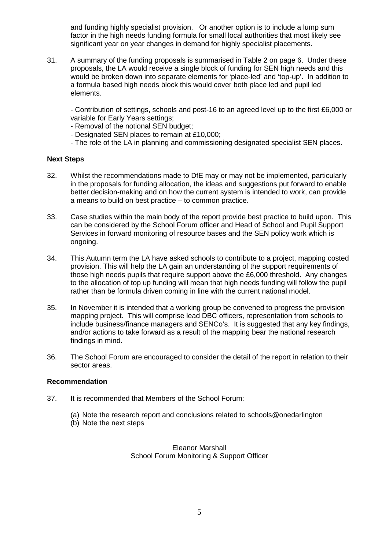and funding highly specialist provision. Or another option is to include a lump sum factor in the high needs funding formula for small local authorities that most likely see significant year on year changes in demand for highly specialist placements.

31. A summary of the funding proposals is summarised in Table 2 on page 6. Under these proposals, the LA would receive a single block of funding for SEN high needs and this would be broken down into separate elements for 'place-led' and 'top-up'. In addition to a formula based high needs block this would cover both place led and pupil led elements.

- Contribution of settings, schools and post-16 to an agreed level up to the first £6,000 or variable for Early Years settings;

- Removal of the notional SEN budget;
- Designated SEN places to remain at £10,000;
- The role of the LA in planning and commissioning designated specialist SEN places.

#### **Next Steps**

- 32. Whilst the recommendations made to DfE may or may not be implemented, particularly in the proposals for funding allocation, the ideas and suggestions put forward to enable better decision-making and on how the current system is intended to work, can provide a means to build on best practice – to common practice.
- 33. Case studies within the main body of the report provide best practice to build upon. This can be considered by the School Forum officer and Head of School and Pupil Support Services in forward monitoring of resource bases and the SEN policy work which is ongoing.
- 34. This Autumn term the LA have asked schools to contribute to a project, mapping costed provision. This will help the LA gain an understanding of the support requirements of those high needs pupils that require support above the £6,000 threshold. Any changes to the allocation of top up funding will mean that high needs funding will follow the pupil rather than be formula driven coming in line with the current national model.
- 35. In November it is intended that a working group be convened to progress the provision mapping project. This will comprise lead DBC officers, representation from schools to include business/finance managers and SENCo's. It is suggested that any key findings, and/or actions to take forward as a result of the mapping bear the national research findings in mind.
- 36. The School Forum are encouraged to consider the detail of the report in relation to their sector areas.

### **Recommendation**

- 37. It is recommended that Members of the School Forum:
	- (a) Note the research report and conclusions related to schools@onedarlington
	- (b) Note the next steps

Eleanor Marshall School Forum Monitoring & Support Officer